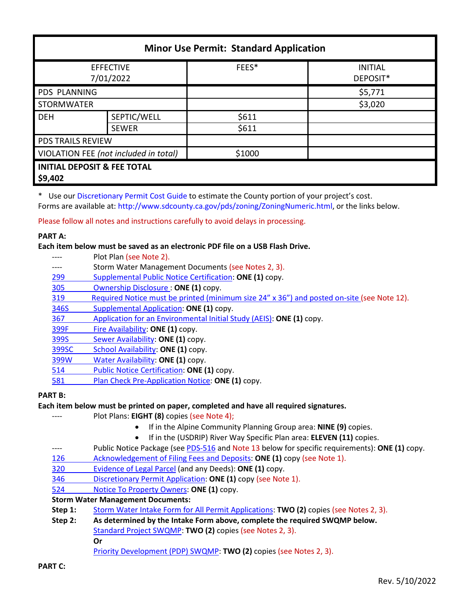| <b>Minor Use Permit: Standard Application</b>     |              |        |                            |  |
|---------------------------------------------------|--------------|--------|----------------------------|--|
| <b>EFFECTIVE</b><br>7/01/2022                     |              | FEES*  | <b>INITIAL</b><br>DEPOSIT* |  |
| PDS PLANNING                                      |              |        | \$5,771                    |  |
| <b>STORMWATER</b>                                 |              |        | \$3,020                    |  |
| <b>DEH</b>                                        | SEPTIC/WELL  | \$611  |                            |  |
|                                                   | <b>SEWER</b> | \$611  |                            |  |
| PDS TRAILS REVIEW                                 |              |        |                            |  |
| VIOLATION FEE (not included in total)             |              | \$1000 |                            |  |
| <b>INITIAL DEPOSIT &amp; FEE TOTAL</b><br>\$9,402 |              |        |                            |  |

\* Use our [Discretionary Permit Cost Guide](http://www.sandiegocounty.gov/content/dam/sdc/pds/docs/Discretionary_Permit_Cost_Guide.xlsx) to estimate the County portion of your project's cost.

Forms are available at: [http://www.sdcounty.ca.gov/pds/zoning/ZoningNumeric.html,](http://www.sdcounty.ca.gov/pds/zoning/ZoningNumeric.html) or the links below.

Please follow all notes and instructions carefully to avoid delays in processing.

## **PART A:**

## **Each item below must be saved as an electronic PDF file on a USB Flash Drive.**

---- Plot Plan (see Note 2). ---- Storm Water Management Documents (see Notes 2, 3). 299 [Supplemental Public](http://www.sdcounty.ca.gov/pds/zoning/formfields/PDS-PLN-299.pdf) Notice Certification: **ONE (1)** copy. [305 Ownership Disclosure :](http://www.sdcounty.ca.gov/pds/zoning/formfields/PDS-PLN-305.pdf) **ONE (1)** copy. [319 Required Notice must be printed \(minimum size 24" x 36"\) and posted on-site](https://www.sandiegocounty.gov/content/dam/sdc/pds/zoning/formfields/PDS-PLN-319.pdf) (see Note 12). [346S Supplemental Application:](http://www.sdcounty.ca.gov/pds/zoning/formfields/PDS-PLN-346S.pdf) **ONE (1)** copy. 367 [Application for an Environmental Initial Study \(AEIS\):](http://www.sdcounty.ca.gov/pds/zoning/formfields/PDS-PLN-367.pdf) **ONE (1)** copy. [399F Fire Availability:](http://www.sdcounty.ca.gov/pds/zoning/formfields/PDS-PLN-399F.pdf) **ONE (1)** copy. 399S [Sewer Availability:](http://www.sdcounty.ca.gov/pds/zoning/formfields/PDS-PLN-399S.pdf) **ONE (1)** copy. [399SC School Availability:](http://www.sdcounty.ca.gov/pds/zoning/formfields/PDS-PLN-399SC.pdf) **ONE (1)** copy. [399W Water Availability:](http://www.sdcounty.ca.gov/pds/zoning/formfields/PDS-PLN-399W.pdf) **ONE (1)** copy. [514 Public Notice Certification:](http://www.sdcounty.ca.gov/pds/zoning/formfields/PDS-PLN-514.pdf) **ONE (1)** copy. [581 Plan Check Pre-Application Notice:](http://www.sdcounty.ca.gov/pds/zoning/formfields/PDS-PLN-581.pdf) **ONE (1)** copy.

# **PART B:**

# **Each item below must be printed on paper, completed and have all required signatures.**

- Plot Plans: **EIGHT (8)** copies (see Note 4);
	- If in the Alpine Community Planning Group area: **NINE (9)** copies.
	- If in the (USDRIP) River Way Specific Plan area: **ELEVEN (11)** copies.
- ---- Public Notice Package (se[e PDS-516 a](https://www.sandiegocounty.gov/pds/zoning/formfields/PDS-PLN-516.pdf)nd Note 13 below for specific requirements): **ONE (1)** copy.
- [126 Acknowledgement of Filing Fees and Deposits:](http://www.sdcounty.ca.gov/pds/zoning/formfields/PDS-PLN-126.pdf) **ONE (1)** copy (see Note 1).
- [320 Evidence of Legal Parcel](http://www.sdcounty.ca.gov/pds/zoning/formfields/PDS-PLN-320.pdf) (and any Deeds): **ONE (1)** copy.
- 346 [Discretionary Permit Application:](http://www.sdcounty.ca.gov/pds/zoning/formfields/PDS-PLN-346.pdf) **ONE (1)** copy (see Note 1).
- 524 [Notice To Property Owners:](http://www.sdcounty.ca.gov/pds/zoning/formfields/PDS-PLN-524.pdf) **ONE (1)** copy.

# **Storm Water Management Documents:**

- **Step 1:** [Storm Water Intake Form for All Permit Applications:](http://www.sandiegocounty.gov/content/dam/sdc/pds/zoning/formfields/SWQMP-Intake-Form.pdf) **TWO (2)** copies (see Notes 2, 3).
- **Step 2: As determined by the Intake Form above, complete the required SWQMP below.** [Standard Project SWQMP:](http://www.sandiegocounty.gov/content/dam/sdc/pds/zoning/formfields/SWQMP-Standard.pdf) **TWO (2)** copies (see Notes 2, 3).

**Or**

[Priority Development \(PDP\) SWQMP:](https://www.sandiegocounty.gov/content/sdc/dpw/watersheds/DevelopmentandConstruction/BMP_Design_Manual.html) **TWO (2)** copies (see Notes 2, 3).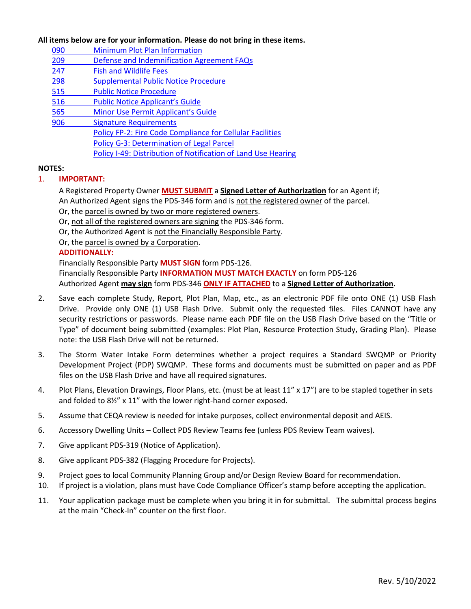#### **All items below are for your information. Please do not bring in these items.**

- 090 [Minimum Plot Plan Information](http://www.sdcounty.ca.gov/pds/docs/pds090.pdf)
- [209 Defense and Indemnification Agreement FAQs](http://www.sdcounty.ca.gov/pds/zoning/formfields/PDS-PLN-209.pdf)
- [247 Fish and Wildlife Fees](http://www.sdcounty.ca.gov/pds/zoning/formfields/PDS-PLN-247.pdf)
- [298 Supplemental Public Notice Procedure](http://www.sdcounty.ca.gov/pds/zoning/formfields/PDS-PLN-298.pdf)
- [515 Public Notice Procedure](http://www.sdcounty.ca.gov/pds/zoning/formfields/PDS-PLN-515.pdf)
- [516 Public Notice Applicant's Guide](http://www.sdcounty.ca.gov/pds/zoning/formfields/PDS-PLN-516.pdf)
- [565 Minor Use Permit Applicant's Guide](http://www.sdcounty.ca.gov/pds/zoning/formfields/PDS-PLN-565.pdf)
- 906 Signature Requirements
	- [Policy FP-2: Fire Code Compliance for Cellular Facilities](http://www.sdcounty.ca.gov/pds/zoning/formfields/POLICY-FP-2-2015.pdf) 
		- Policy G-3: [Determination of Legal Parcel](http://www.sdcounty.ca.gov/pds/zoning/formfields/POLICY-G-3.pdf)
			- [Policy I-49: Distribution of Notification of Land Use Hearing](http://www.sdcounty.ca.gov/cob/docs/policy/I-49.pdf)

#### **NOTES:**

## 1. **IMPORTANT:**

- A Registered Property Owner **MUST SUBMIT** a **Signed Letter of Authorization** for an Agent if; An Authorized Agent signs the PDS-346 form and is not the registered owner of the parcel.
- Or, the parcel is owned by two or more registered owners.
- Or, not all of the registered owners are signing the PDS-346 form.
- Or, the Authorized Agent is not the Financially Responsible Party.
- Or, the parcel is owned by a Corporation.

## **ADDITIONALLY:**

Financially Responsible Party **MUST SIGN** form PDS-126. Financially Responsible Party **INFORMATION MUST MATCH EXACTLY** on form PDS-126 Authorized Agent **may sign** form PDS-346 **ONLY IF ATTACHED** to a **Signed Letter of Authorization.** 

- 2. Save each complete Study, Report, Plot Plan, Map, etc., as an electronic PDF file onto ONE (1) USB Flash Drive. Provide only ONE (1) USB Flash Drive. Submit only the requested files. Files CANNOT have any security restrictions or passwords. Please name each PDF file on the USB Flash Drive based on the "Title or Type" of document being submitted (examples: Plot Plan, Resource Protection Study, Grading Plan). Please note: the USB Flash Drive will not be returned.
- 3. The Storm Water Intake Form determines whether a project requires a Standard SWQMP or Priority Development Project (PDP) SWQMP. These forms and documents must be submitted on paper and as PDF files on the USB Flash Drive and have all required signatures.
- 4. Plot Plans, Elevation Drawings, Floor Plans, etc. (must be at least 11" x 17") are to be stapled together in sets and folded to 8½" x 11" with the lower right-hand corner exposed.
- 5. Assume that CEQA review is needed for intake purposes, collect environmental deposit and AEIS.
- 6. Accessory Dwelling Units Collect PDS Review Teams fee (unless PDS Review Team waives).
- 7. Give applicant PDS-319 (Notice of Application).
- 8. Give applicant PDS-382 (Flagging Procedure for Projects).
- 9. Project goes to local Community Planning Group and/or Design Review Board for recommendation.
- 10. If project is a violation, plans must have Code Compliance Officer's stamp before accepting the application.
- 11. Your application package must be complete when you bring it in for submittal. The submittal process begins at the main "Check-In" counter on the first floor.